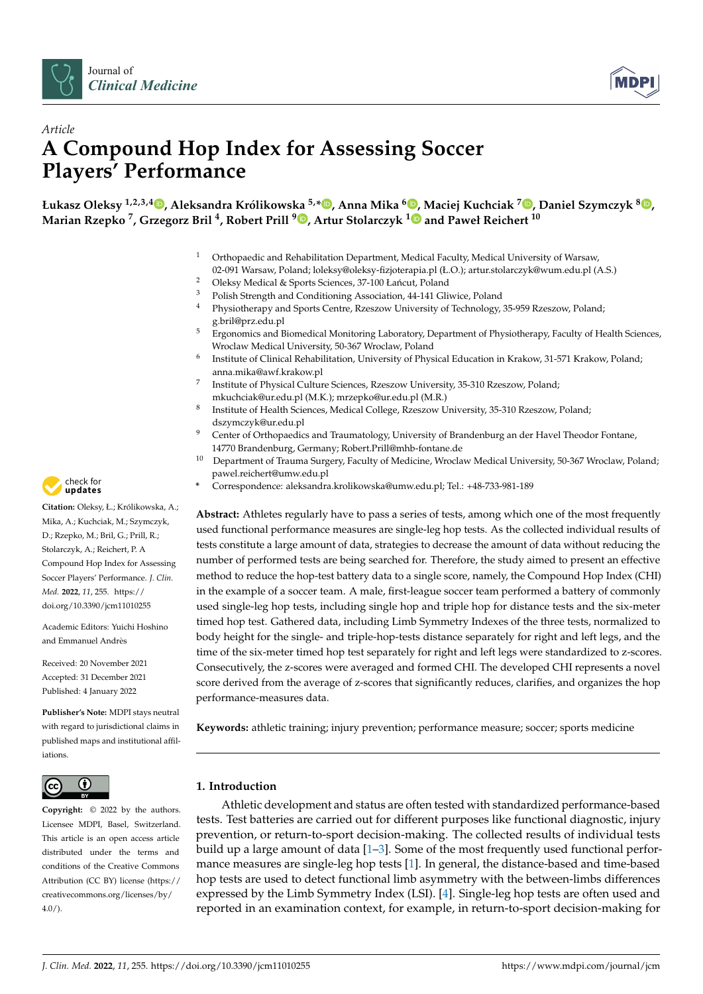



# *Article* **A Compound Hop Index for Assessing Soccer Players' Performance**

Łukasz Oleksy <sup>1[,](https://orcid.org/0000-0002-0455-3759)2,3,4</sup>®, Aleksandra Królikowska <sup>5,</sup>[\\*](https://orcid.org/0000-0002-6283-5500)®, Anna Mika <sup>6</sup>®, Maciej Kuchciak <sup>7</sup>®, Daniel Szymczyk <sup>8</sup>®, **Marian Rzepko <sup>7</sup> , Grzegorz Bril <sup>4</sup> , Robert Prill <sup>9</sup> [,](https://orcid.org/0000-0002-4916-1206) Artur Stolarczyk [1](https://orcid.org/0000-0002-5633-8153) and Paweł Reichert <sup>10</sup>**

- <sup>1</sup> Orthopaedic and Rehabilitation Department, Medical Faculty, Medical University of Warsaw,
- 02-091 Warsaw, Poland; loleksy@oleksy-fizjoterapia.pl (Ł.O.); artur.stolarczyk@wum.edu.pl (A.S.)
- <sup>2</sup> Oleksy Medical & Sports Sciences, 37-100 Łańcut, Poland<br><sup>3</sup> Polish Strength and Conditioning Association 44, 141 Cli
- <sup>3</sup> Polish Strength and Conditioning Association, 44-141 Gliwice, Poland<br><sup>4</sup> Physiotherany and Sports Contre Pressour University of Technology
- <sup>4</sup> Physiotherapy and Sports Centre, Rzeszow University of Technology, 35-959 Rzeszow, Poland; g.bril@prz.edu.pl
- <sup>5</sup> Ergonomics and Biomedical Monitoring Laboratory, Department of Physiotherapy, Faculty of Health Sciences, Wroclaw Medical University, 50-367 Wroclaw, Poland
- 6 Institute of Clinical Rehabilitation, University of Physical Education in Krakow, 31-571 Krakow, Poland; anna.mika@awf.krakow.pl
- 7 Institute of Physical Culture Sciences, Rzeszow University, 35-310 Rzeszow, Poland; mkuchciak@ur.edu.pl (M.K.); mrzepko@ur.edu.pl (M.R.)
- 8 Institute of Health Sciences, Medical College, Rzeszow University, 35-310 Rzeszow, Poland; dszymczyk@ur.edu.pl
- <sup>9</sup> Center of Orthopaedics and Traumatology, University of Brandenburg an der Havel Theodor Fontane, 14770 Brandenburg, Germany; Robert.Prill@mhb-fontane.de
- <sup>10</sup> Department of Trauma Surgery, Faculty of Medicine, Wroclaw Medical University, 50-367 Wroclaw, Poland; pawel.reichert@umw.edu.pl
- **\*** Correspondence: aleksandra.krolikowska@umw.edu.pl; Tel.: +48-733-981-189

**Abstract:** Athletes regularly have to pass a series of tests, among which one of the most frequently used functional performance measures are single-leg hop tests. As the collected individual results of tests constitute a large amount of data, strategies to decrease the amount of data without reducing the number of performed tests are being searched for. Therefore, the study aimed to present an effective method to reduce the hop-test battery data to a single score, namely, the Compound Hop Index (CHI) in the example of a soccer team. A male, first-league soccer team performed a battery of commonly used single-leg hop tests, including single hop and triple hop for distance tests and the six-meter timed hop test. Gathered data, including Limb Symmetry Indexes of the three tests, normalized to body height for the single- and triple-hop-tests distance separately for right and left legs, and the time of the six-meter timed hop test separately for right and left legs were standardized to z-scores. Consecutively, the z-scores were averaged and formed CHI. The developed CHI represents a novel score derived from the average of z-scores that significantly reduces, clarifies, and organizes the hop performance-measures data.

**Keywords:** athletic training; injury prevention; performance measure; soccer; sports medicine

# **1. Introduction**

Athletic development and status are often tested with standardized performance-based tests. Test batteries are carried out for different purposes like functional diagnostic, injury prevention, or return-to-sport decision-making. The collected results of individual tests build up a large amount of data  $[1-3]$  $[1-3]$ . Some of the most frequently used functional performance measures are single-leg hop tests [\[1\]](#page-8-0). In general, the distance-based and time-based hop tests are used to detect functional limb asymmetry with the between-limbs differences expressed by the Limb Symmetry Index (LSI). [\[4\]](#page-8-2). Single-leg hop tests are often used and reported in an examination context, for example, in return-to-sport decision-making for



**Citation:** Oleksy, Ł.; Królikowska, A.; Mika, A.; Kuchciak, M.; Szymczyk, D.; Rzepko, M.; Bril, G.; Prill, R.; Stolarczyk, A.; Reichert, P. A Compound Hop Index for Assessing Soccer Players' Performance. *J. Clin. Med.* **2022**, *11*, 255. [https://](https://doi.org/10.3390/jcm11010255) [doi.org/10.3390/jcm11010255](https://doi.org/10.3390/jcm11010255)

Academic Editors: Yuichi Hoshino and Emmanuel Andrès

Received: 20 November 2021 Accepted: 31 December 2021 Published: 4 January 2022

**Publisher's Note:** MDPI stays neutral with regard to jurisdictional claims in published maps and institutional affiliations.



**Copyright:** © 2022 by the authors. Licensee MDPI, Basel, Switzerland. This article is an open access article distributed under the terms and conditions of the Creative Commons Attribution (CC BY) license [\(https://](https://creativecommons.org/licenses/by/4.0/) [creativecommons.org/licenses/by/](https://creativecommons.org/licenses/by/4.0/)  $4.0/$ ).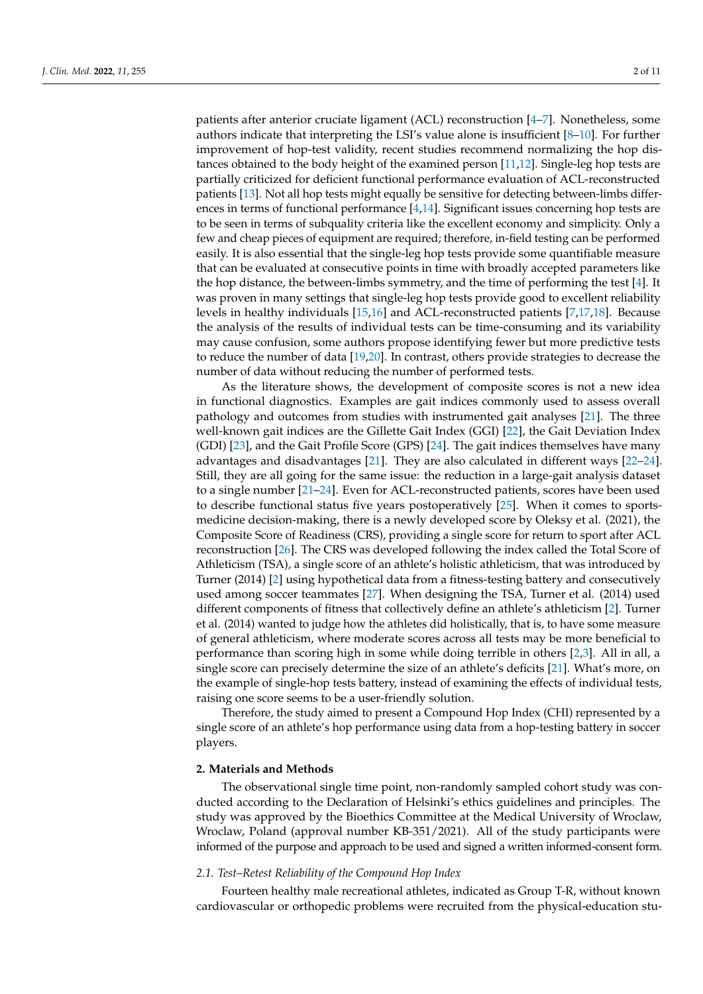patients after anterior cruciate ligament (ACL) reconstruction [\[4–](#page-8-2)[7\]](#page-8-3). Nonetheless, some authors indicate that interpreting the LSI's value alone is insufficient [\[8–](#page-8-4)[10\]](#page-9-0). For further improvement of hop-test validity, recent studies recommend normalizing the hop distances obtained to the body height of the examined person [\[11](#page-9-1)[,12\]](#page-9-2). Single-leg hop tests are partially criticized for deficient functional performance evaluation of ACL-reconstructed patients [\[13\]](#page-9-3). Not all hop tests might equally be sensitive for detecting between-limbs differences in terms of functional performance [\[4,](#page-8-2)[14\]](#page-9-4). Significant issues concerning hop tests are to be seen in terms of subquality criteria like the excellent economy and simplicity. Only a few and cheap pieces of equipment are required; therefore, in-field testing can be performed easily. It is also essential that the single-leg hop tests provide some quantifiable measure that can be evaluated at consecutive points in time with broadly accepted parameters like the hop distance, the between-limbs symmetry, and the time of performing the test [\[4\]](#page-8-2). It was proven in many settings that single-leg hop tests provide good to excellent reliability levels in healthy individuals [\[15](#page-9-5)[,16\]](#page-9-6) and ACL-reconstructed patients [\[7](#page-8-3)[,17,](#page-9-7)[18\]](#page-9-8). Because the analysis of the results of individual tests can be time-consuming and its variability may cause confusion, some authors propose identifying fewer but more predictive tests to reduce the number of data [\[19,](#page-9-9)[20\]](#page-9-10). In contrast, others provide strategies to decrease the number of data without reducing the number of performed tests.

As the literature shows, the development of composite scores is not a new idea in functional diagnostics. Examples are gait indices commonly used to assess overall pathology and outcomes from studies with instrumented gait analyses [\[21\]](#page-9-11). The three well-known gait indices are the Gillette Gait Index (GGI) [\[22\]](#page-9-12), the Gait Deviation Index (GDI) [\[23\]](#page-9-13), and the Gait Profile Score (GPS) [\[24\]](#page-9-14). The gait indices themselves have many advantages and disadvantages [\[21\]](#page-9-11). They are also calculated in different ways [\[22](#page-9-12)[–24\]](#page-9-14). Still, they are all going for the same issue: the reduction in a large-gait analysis dataset to a single number [\[21–](#page-9-11)[24\]](#page-9-14). Even for ACL-reconstructed patients, scores have been used to describe functional status five years postoperatively [\[25\]](#page-9-15). When it comes to sportsmedicine decision-making, there is a newly developed score by Oleksy et al. (2021), the Composite Score of Readiness (CRS), providing a single score for return to sport after ACL reconstruction [\[26\]](#page-9-16). The CRS was developed following the index called the Total Score of Athleticism (TSA), a single score of an athlete's holistic athleticism, that was introduced by Turner (2014) [\[2\]](#page-8-5) using hypothetical data from a fitness-testing battery and consecutively used among soccer teammates [\[27\]](#page-9-17). When designing the TSA, Turner et al. (2014) used different components of fitness that collectively define an athlete's athleticism [\[2\]](#page-8-5). Turner et al. (2014) wanted to judge how the athletes did holistically, that is, to have some measure of general athleticism, where moderate scores across all tests may be more beneficial to performance than scoring high in some while doing terrible in others [\[2,](#page-8-5)[3\]](#page-8-1). All in all, a single score can precisely determine the size of an athlete's deficits [\[21\]](#page-9-11). What's more, on the example of single-hop tests battery, instead of examining the effects of individual tests, raising one score seems to be a user-friendly solution.

Therefore, the study aimed to present a Compound Hop Index (CHI) represented by a single score of an athlete's hop performance using data from a hop-testing battery in soccer players.

## **2. Materials and Methods**

The observational single time point, non-randomly sampled cohort study was conducted according to the Declaration of Helsinki's ethics guidelines and principles. The study was approved by the Bioethics Committee at the Medical University of Wroclaw, Wroclaw, Poland (approval number KB-351/2021). All of the study participants were informed of the purpose and approach to be used and signed a written informed-consent form.

### *2.1. Test–Retest Reliability of the Compound Hop Index*

Fourteen healthy male recreational athletes, indicated as Group T-R, without known cardiovascular or orthopedic problems were recruited from the physical-education stu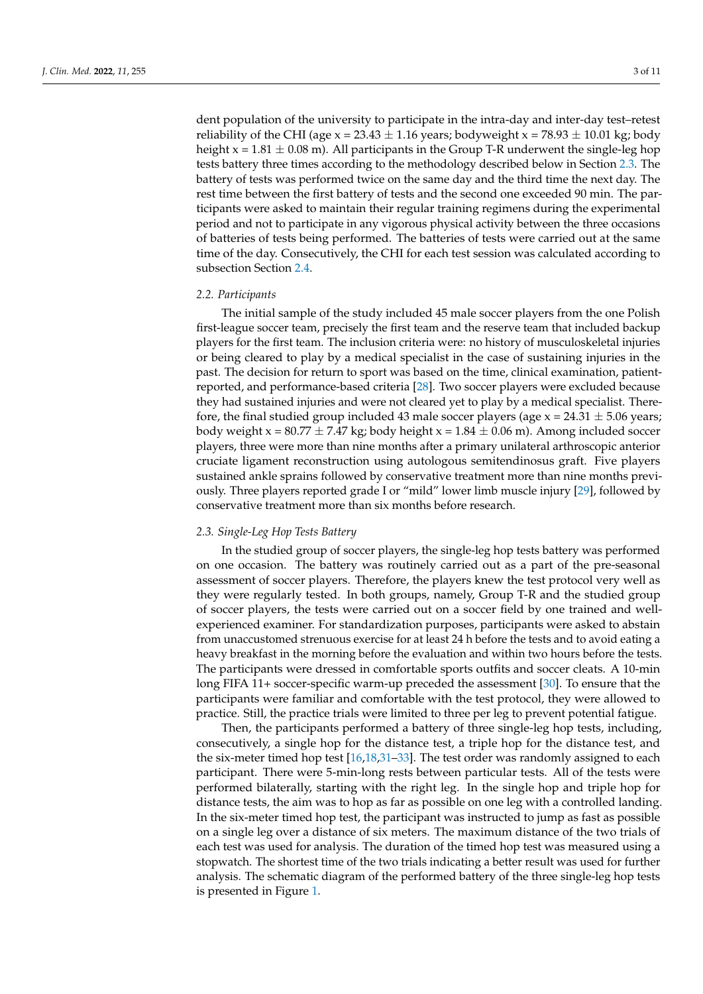dent population of the university to participate in the intra-day and inter-day test–retest reliability of the CHI (age  $x = 23.43 \pm 1.16$  years; bodyweight  $x = 78.93 \pm 10.01$  kg; body height  $x = 1.81 \pm 0.08$  m). All participants in the Group T-R underwent the single-leg hop tests battery three times according to the methodology described below in Section [2.3.](#page-2-0) The battery of tests was performed twice on the same day and the third time the next day. The rest time between the first battery of tests and the second one exceeded 90 min. The participants were asked to maintain their regular training regimens during the experimental period and not to participate in any vigorous physical activity between the three occasions of batteries of tests being performed. The batteries of tests were carried out at the same time of the day. Consecutively, the CHI for each test session was calculated according to subsection Section [2.4.](#page-3-0)

#### *2.2. Participants*

The initial sample of the study included 45 male soccer players from the one Polish first-league soccer team, precisely the first team and the reserve team that included backup players for the first team. The inclusion criteria were: no history of musculoskeletal injuries or being cleared to play by a medical specialist in the case of sustaining injuries in the past. The decision for return to sport was based on the time, clinical examination, patientreported, and performance-based criteria [\[28\]](#page-9-18). Two soccer players were excluded because they had sustained injuries and were not cleared yet to play by a medical specialist. Therefore, the final studied group included 43 male soccer players (age  $x = 24.31 \pm 5.06$  years; body weight  $x = 80.77 \pm 7.47$  kg; body height  $x = 1.84 \pm 0.06$  m). Among included soccer players, three were more than nine months after a primary unilateral arthroscopic anterior cruciate ligament reconstruction using autologous semitendinosus graft. Five players sustained ankle sprains followed by conservative treatment more than nine months previously. Three players reported grade I or "mild" lower limb muscle injury [\[29\]](#page-9-19), followed by conservative treatment more than six months before research.

#### <span id="page-2-0"></span>*2.3. Single-Leg Hop Tests Battery*

In the studied group of soccer players, the single-leg hop tests battery was performed on one occasion. The battery was routinely carried out as a part of the pre-seasonal assessment of soccer players. Therefore, the players knew the test protocol very well as they were regularly tested. In both groups, namely, Group T-R and the studied group of soccer players, the tests were carried out on a soccer field by one trained and wellexperienced examiner. For standardization purposes, participants were asked to abstain from unaccustomed strenuous exercise for at least 24 h before the tests and to avoid eating a heavy breakfast in the morning before the evaluation and within two hours before the tests. The participants were dressed in comfortable sports outfits and soccer cleats. A 10-min long FIFA 11+ soccer-specific warm-up preceded the assessment [\[30\]](#page-9-20). To ensure that the participants were familiar and comfortable with the test protocol, they were allowed to practice. Still, the practice trials were limited to three per leg to prevent potential fatigue.

Then, the participants performed a battery of three single-leg hop tests, including, consecutively, a single hop for the distance test, a triple hop for the distance test, and the six-meter timed hop test  $[16,18,31-33]$  $[16,18,31-33]$  $[16,18,31-33]$  $[16,18,31-33]$ . The test order was randomly assigned to each participant. There were 5-min-long rests between particular tests. All of the tests were performed bilaterally, starting with the right leg. In the single hop and triple hop for distance tests, the aim was to hop as far as possible on one leg with a controlled landing. In the six-meter timed hop test, the participant was instructed to jump as fast as possible on a single leg over a distance of six meters. The maximum distance of the two trials of each test was used for analysis. The duration of the timed hop test was measured using a stopwatch. The shortest time of the two trials indicating a better result was used for further analysis. The schematic diagram of the performed battery of the three single-leg hop tests is presented in Figure [1.](#page-3-1)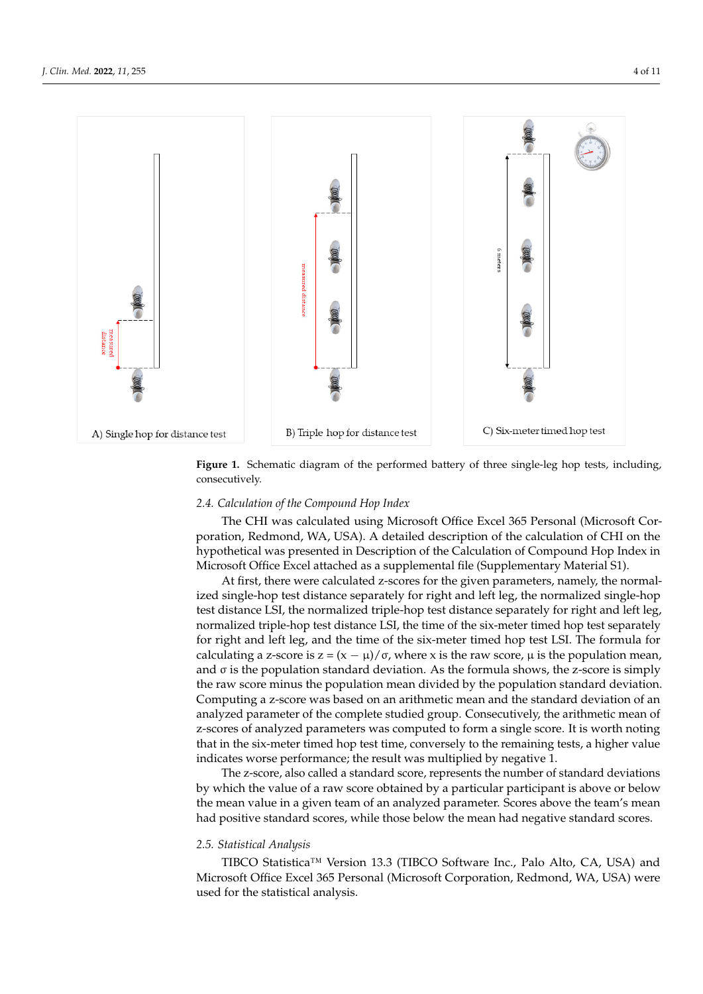<span id="page-3-1"></span>

**Figure 1.** Schematic diagram of the performed battery of three single-leg hop tests, including, consecutively.

# <span id="page-3-0"></span>*2.4. Calculation of the Compound Hop Index 2.4. Calculation of the Compound Hop Index*

 $T_{\text{max}}$  was calculated using  $\frac{1}{2}$  of  $\frac{1}{2}$   $\frac{1}{2}$   $\frac{1}{2}$   $\frac{1}{2}$   $\frac{1}{2}$   $\frac{1}{2}$   $\frac{1}{2}$   $\frac{1}{2}$   $\frac{1}{2}$   $\frac{1}{2}$   $\frac{1}{2}$   $\frac{1}{2}$   $\frac{1}{2}$   $\frac{1}{2}$   $\frac{1}{2}$   $\frac{1}{2}$   $\frac{1}{2}$   $\frac{1}{2$ The CHI was calculated using Microsoft Office Excel 365 Personal (Microsoft Cor-<br>The calculated using Microsoft Office Excel 365 Personal (Microsoft Corpothetical was presented in Description of the Calculation of Compound Hop Index in hypothetical was presented in Description of the Calculation of Compound Hop Index in Microsoft Office Excel attached as a supplemental file (Supplementary Material S1). Microsoft Office Excel attached as a supplemental file (Supplementary Material S1). poration, Redmond, WA, USA). A detailed description of the calculation of CHI on the

At first, there were calculated z-scores for the given parameters, namely, the normal-At first, there were calculated z-scores for the given parameters, namely, the normalized single-hop test distance separately for right and left leg, the normalized single-hop ized single-hop test distance separately for right and left leg, the normalized single-hop test distance LSI, the normalized triple-hop test distance separately for right and left leg, test distance LSI, the normalized triple-hop test distance separately for right and left leg, normalized triple-hop test distance LSI, the time of the six-meter timed hop test separately normalized triple-hop test distance LSI, the time of the six-meter timed hop test separately for right and left leg, and the time of the six-meter timed hop test LSI. The formula for for right and left leg, and the time of the six-meter timed hop test LSI. The formula for calculating a z-score is  $z = (x - μ)/σ$ , where x is the raw score,  $μ$  is the population mean, and σ is the population standard deviation. As the formula shows, the z-score is simply and σ is the population standard deviation. As the formula shows, the z-score is simply the raw score minus the population mean divided by the population standard deviation. the raw score minus the population mean divided by the population standard deviation. Computing a z-score was based on an arithmetic mean and the standard deviation of an Computing a z-score was based on an arithmetic mean and the standard deviation of an analyzed parameter of the complete studied group. Consecutively, the arithmetic mean analyzed parameter of the complete studied group. Consecutively, the arithmetic mean of z-scores of analyzed parameters was computed to form a single score. It is worth noting that in the six-meter timed hop test time, conversely to the remaining tests, a higher value that in the six-meter timed hop test time, conversely to the remaining tests, a higher value indicates worse performance; the result was multiplied by negative 1. indicates worse performance; the result was multiplied by negative 1.

The z-score, also called a standard score, represents the number of standard deviations by which the value of a raw score obtained by a particular participant is above or below the mean value in a given team of an analyzed parameter. Scores above the team's mean had positive standard scores, while those below the mean had negative standard scores.

## *2.5. Statistical Analysis*

TIBCO Statistica™ Version 13.3 (TIBCO Software Inc., Palo Alto, CA, USA) and Microsoft Office Excel 365 Personal (Microsoft Corporation, Redmond, WA, USA) were used for the statistical analysis.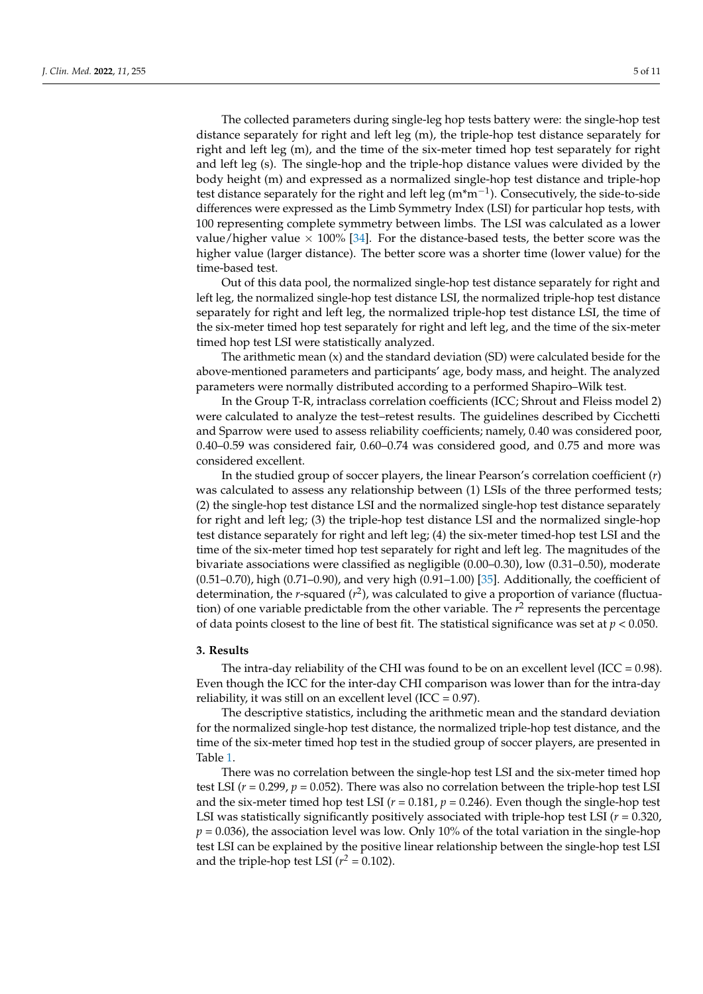The collected parameters during single-leg hop tests battery were: the single-hop test distance separately for right and left leg (m), the triple-hop test distance separately for right and left leg (m), and the time of the six-meter timed hop test separately for right and left leg (s). The single-hop and the triple-hop distance values were divided by the body height (m) and expressed as a normalized single-hop test distance and triple-hop test distance separately for the right and left leg (m\*m<sup>-1</sup>). Consecutively, the side-to-side differences were expressed as the Limb Symmetry Index (LSI) for particular hop tests, with 100 representing complete symmetry between limbs. The LSI was calculated as a lower value/higher value  $\times$  100% [\[34\]](#page-9-23). For the distance-based tests, the better score was the higher value (larger distance). The better score was a shorter time (lower value) for the time-based test.

Out of this data pool, the normalized single-hop test distance separately for right and left leg, the normalized single-hop test distance LSI, the normalized triple-hop test distance separately for right and left leg, the normalized triple-hop test distance LSI, the time of the six-meter timed hop test separately for right and left leg, and the time of the six-meter timed hop test LSI were statistically analyzed.

The arithmetic mean  $(x)$  and the standard deviation  $(SD)$  were calculated beside for the above-mentioned parameters and participants' age, body mass, and height. The analyzed parameters were normally distributed according to a performed Shapiro–Wilk test.

In the Group T-R, intraclass correlation coefficients (ICC; Shrout and Fleiss model 2) were calculated to analyze the test–retest results. The guidelines described by Cicchetti and Sparrow were used to assess reliability coefficients; namely, 0.40 was considered poor, 0.40–0.59 was considered fair, 0.60–0.74 was considered good, and 0.75 and more was considered excellent.

In the studied group of soccer players, the linear Pearson's correlation coefficient (*r*) was calculated to assess any relationship between (1) LSIs of the three performed tests; (2) the single-hop test distance LSI and the normalized single-hop test distance separately for right and left leg; (3) the triple-hop test distance LSI and the normalized single-hop test distance separately for right and left leg; (4) the six-meter timed-hop test LSI and the time of the six-meter timed hop test separately for right and left leg. The magnitudes of the bivariate associations were classified as negligible (0.00–0.30), low (0.31–0.50), moderate (0.51–0.70), high (0.71–0.90), and very high (0.91–1.00) [\[35\]](#page-9-24). Additionally, the coefficient of determination, the *r*-squared (*r*<sup>2</sup>), was calculated to give a proportion of variance (fluctuation) of one variable predictable from the other variable. The  $r^2$  represents the percentage of data points closest to the line of best fit. The statistical significance was set at  $p < 0.050$ .

### **3. Results**

The intra-day reliability of the CHI was found to be on an excellent level (ICC =  $0.98$ ). Even though the ICC for the inter-day CHI comparison was lower than for the intra-day reliability, it was still on an excellent level (ICC =  $0.97$ ).

The descriptive statistics, including the arithmetic mean and the standard deviation for the normalized single-hop test distance, the normalized triple-hop test distance, and the time of the six-meter timed hop test in the studied group of soccer players, are presented in Table [1.](#page-5-0)

There was no correlation between the single-hop test LSI and the six-meter timed hop test LSI ( $r = 0.299$ ,  $p = 0.052$ ). There was also no correlation between the triple-hop test LSI and the six-meter timed hop test LSI ( $r = 0.181$ ,  $p = 0.246$ ). Even though the single-hop test LSI was statistically significantly positively associated with triple-hop test LSI ( $r = 0.320$ ,  $p = 0.036$ ), the association level was low. Only 10% of the total variation in the single-hop test LSI can be explained by the positive linear relationship between the single-hop test LSI and the triple-hop test LSI  $(r^2 = 0.102)$ .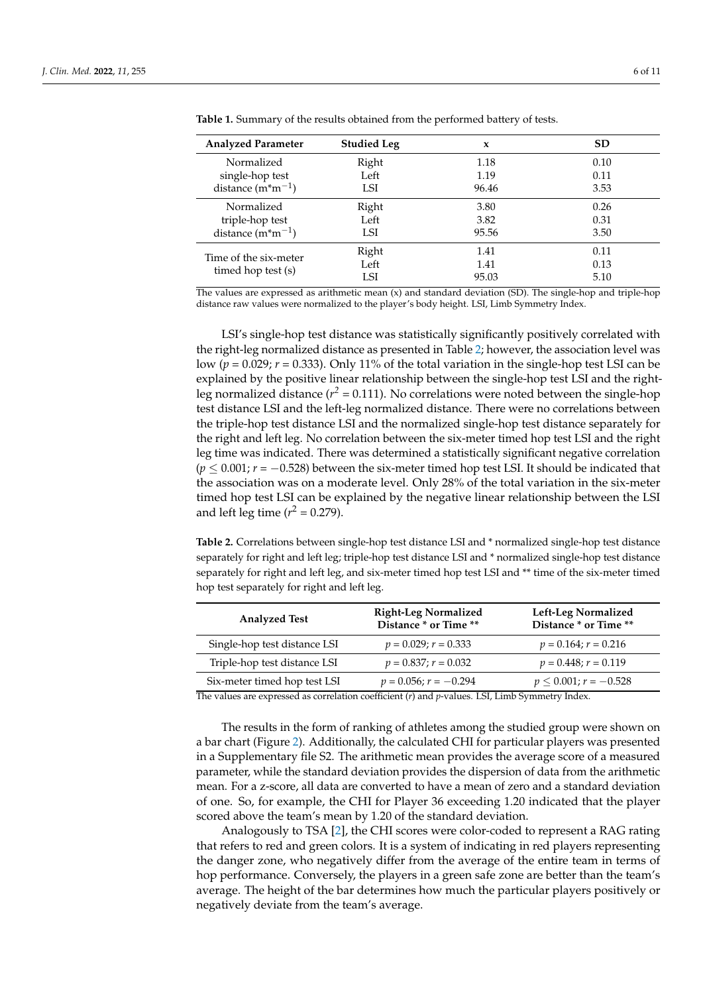| <b>Analyzed Parameter</b>                   | <b>Studied Leg</b> | x     | <b>SD</b> |
|---------------------------------------------|--------------------|-------|-----------|
| Normalized                                  | Right              | 1.18  | 0.10      |
| single-hop test                             | Left               | 1.19  | 0.11      |
| distance $(m*m^{-1})$                       | LSI                | 96.46 | 3.53      |
| Normalized                                  | Right              | 3.80  | 0.26      |
| triple-hop test                             | Left               | 3.82  | 0.31      |
| distance $(m*m^{-1})$                       | LSI                | 95.56 | 3.50      |
| Time of the six-meter<br>timed hop test (s) | Right              | 1.41  | 0.11      |
|                                             | Left               | 1.41  | 0.13      |
|                                             | LSI                | 95.03 | 5.10      |

<span id="page-5-0"></span>**Table 1.** Summary of the results obtained from the performed battery of tests.

The values are expressed as arithmetic mean (x) and standard deviation (SD). The single-hop and triple-hop distance raw values were normalized to the player's body height. LSI, Limb Symmetry Index.

LSI's single-hop test distance was statistically significantly positively correlated with the right-leg normalized distance as presented in Table [2;](#page-5-1) however, the association level was low ( $p = 0.029$ ;  $r = 0.333$ ). Only 11% of the total variation in the single-hop test LSI can be explained by the positive linear relationship between the single-hop test LSI and the rightleg normalized distance ( $r^2$  = 0.111). No correlations were noted between the single-hop test distance LSI and the left-leg normalized distance. There were no correlations between the triple-hop test distance LSI and the normalized single-hop test distance separately for the right and left leg. No correlation between the six-meter timed hop test LSI and the right leg time was indicated. There was determined a statistically significant negative correlation (*p* ≤ 0.001; *r* = −0.528) between the six-meter timed hop test LSI. It should be indicated that the association was on a moderate level. Only 28% of the total variation in the six-meter timed hop test LSI can be explained by the negative linear relationship between the LSI and left leg time ( $r^2 = 0.279$ ).

<span id="page-5-1"></span>**Table 2.** Correlations between single-hop test distance LSI and \* normalized single-hop test distance separately for right and left leg; triple-hop test distance LSI and \* normalized single-hop test distance separately for right and left leg, and six-meter timed hop test LSI and \*\* time of the six-meter timed hop test separately for right and left leg.

| <b>Analyzed Test</b>         | <b>Right-Leg Normalized</b><br>Distance * or Time ** | Left-Leg Normalized<br>Distance * or Time ** |
|------------------------------|------------------------------------------------------|----------------------------------------------|
| Single-hop test distance LSI | $p = 0.029$ ; $r = 0.333$                            | $p = 0.164; r = 0.216$                       |
| Triple-hop test distance LSI | $p = 0.837; r = 0.032$                               | $p = 0.448; r = 0.119$                       |
| Six-meter timed hop test LSI | $p = 0.056; r = -0.294$                              | $p \le 0.001$ ; $r = -0.528$                 |

The values are expressed as correlation coefficient (*r*) and *p*-values. LSI, Limb Symmetry Index.

The results in the form of ranking of athletes among the studied group were shown on a bar chart (Figure [2\)](#page-6-0). Additionally, the calculated CHI for particular players was presented in a Supplementary file S2. The arithmetic mean provides the average score of a measured parameter, while the standard deviation provides the dispersion of data from the arithmetic mean. For a z-score, all data are converted to have a mean of zero and a standard deviation of one. So, for example, the CHI for Player 36 exceeding 1.20 indicated that the player scored above the team's mean by 1.20 of the standard deviation.

Analogously to TSA [\[2\]](#page-8-5), the CHI scores were color-coded to represent a RAG rating that refers to red and green colors. It is a system of indicating in red players representing the danger zone, who negatively differ from the average of the entire team in terms of hop performance. Conversely, the players in a green safe zone are better than the team's average. The height of the bar determines how much the particular players positively or negatively deviate from the team's average.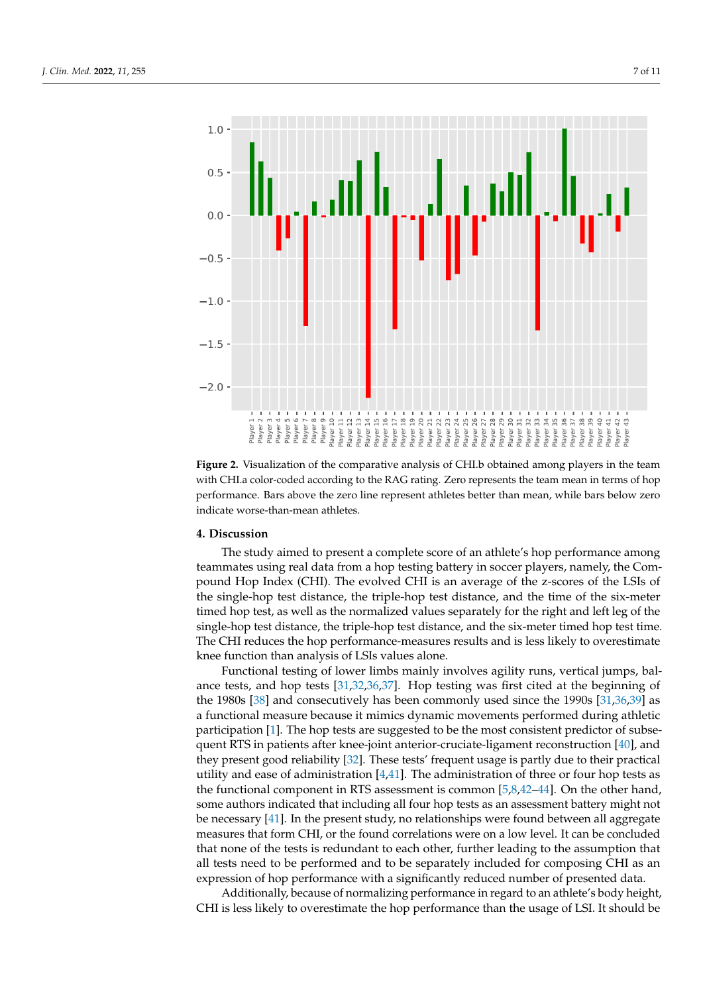<span id="page-6-0"></span>

**Figure 2.** Visualization of the comparative analysis of CHI.b obtained among players in the team **Figure 2.** Visualization of the comparative analysis of CHI.b obtained among players in the team with CHI.a color-coded according to the RAG rating. Zero represents the team mean in terms of hop with CHI.a color-coded according to the RAG rating. Zero represents the team mean in terms of hop performance. Bars above the zero line represent athletes better than mean, while bars below zero performance. Bars above the zero line represent athletes better than mean, while bars below zero indicate worse-than-mean athletes. indicate worse-than-mean athletes.

# **4. Discussion 4. Discussion**

The study aimed to present a complete score of an athlete's hop performance among The study aimed to present a complete score of an athlete's hop performance among teammates using real data from a hop testing battery in soccer players, namely, the Com-teammates using real data from a hop testing battery in soccer players, namely, the Compound Hop Index (CHI). The evolved CHI is an average of the z-scores of the LSIs of the single-hop test distance, the triple-hop test distance, and the time of the six-meter timed hop test, as well as the normalized values separately for the right and left leg of the single-hop test distance, the triple-hop test distance, and the six-meter timed hop test time. The CHI reduces the hop performance-measures results and is less likely to overestimate function than analysis of LSIs values alone. knee function than analysis of LSIs values alone.

Functional testing of lower limbs mainly involves agility runs, vertical jumps, bal-ance tests, and hop tests [\[31](#page-9-21)[,32](#page-9-25)[,36](#page-10-0)[,37\]](#page-10-1). Hop testing was first cited at the beginning of the 1980s  $[38]$  and consecutively has been commonly used since the 1990s  $[31,36,39]$  $[31,36,39]$  $[31,36,39]$  as a functional measure because it mimics dynamic movements performed during athletic participation [\[1\]](#page-8-0). The hop tests are suggested to be the most consistent predictor of subse-<br> quent RTS in patients after knee-joint anterior-cruciate-ligament reconstruction [\[40\]](#page-10-4), and the theory is and they can be also the state of the state of the state of the state of the state of the state of the state of the s present good reliability [32]. These tests' frequent usage is partly due to their practical they present good reliability [\[32\]](#page-9-25). These tests' frequent usage is partly due to their practical utility and ease of administration [\[4](#page-8-2)[,41\]](#page-10-5). The administration of three or four hop tests as the functional equation PTC excession of the second  $\sim$  141. Or the athen hand the functional component in RTS assessment is common [\[5,](#page-8-6)[8,](#page-8-4)[42–](#page-10-6)[44\]](#page-10-7). On the other hand,  $\frac{1}{2}$ some authors indicated that including all four hop tests as an assessment battery might be necessary [\[41\]](#page-10-5). In the present study, no relationships were found between all aggregate some authors indicated that including all four hop tests as an assessment battery might not measures that form CHI, or the found correlations were on a low level. It can be concluded that none of the tests is redundant to each other, further leading to the assumption that all tests need to be performed and to be separately included for composing CHI as an expression of hop performance with a significantly reduced number of presented data.

Additionally, because of normalizing performance in regard to an athlete's body height, CHI is less likely to overestimate the hop performance than the usage of LSI. It should be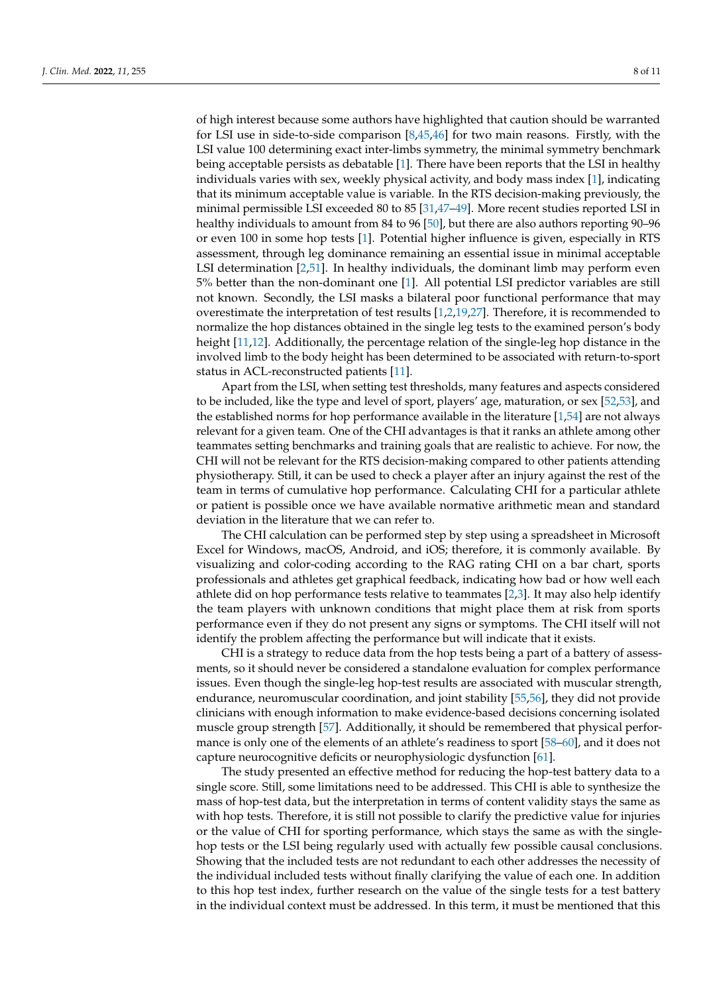of high interest because some authors have highlighted that caution should be warranted for LSI use in side-to-side comparison  $[8,45,46]$  $[8,45,46]$  $[8,45,46]$  for two main reasons. Firstly, with the LSI value 100 determining exact inter-limbs symmetry, the minimal symmetry benchmark being acceptable persists as debatable [\[1\]](#page-8-0). There have been reports that the LSI in healthy individuals varies with sex, weekly physical activity, and body mass index [\[1\]](#page-8-0), indicating that its minimum acceptable value is variable. In the RTS decision-making previously, the minimal permissible LSI exceeded 80 to 85 [\[31](#page-9-21)[,47–](#page-10-10)[49\]](#page-10-11). More recent studies reported LSI in healthy individuals to amount from 84 to 96 [\[50\]](#page-10-12), but there are also authors reporting 90–96 or even 100 in some hop tests [\[1\]](#page-8-0). Potential higher influence is given, especially in RTS assessment, through leg dominance remaining an essential issue in minimal acceptable LSI determination [\[2](#page-8-5)[,51\]](#page-10-13). In healthy individuals, the dominant limb may perform even 5% better than the non-dominant one [\[1\]](#page-8-0). All potential LSI predictor variables are still not known. Secondly, the LSI masks a bilateral poor functional performance that may overestimate the interpretation of test results [\[1,](#page-8-0)[2,](#page-8-5)[19,](#page-9-9)[27\]](#page-9-17). Therefore, it is recommended to normalize the hop distances obtained in the single leg tests to the examined person's body height [\[11](#page-9-1)[,12\]](#page-9-2). Additionally, the percentage relation of the single-leg hop distance in the involved limb to the body height has been determined to be associated with return-to-sport status in ACL-reconstructed patients [\[11\]](#page-9-1).

Apart from the LSI, when setting test thresholds, many features and aspects considered to be included, like the type and level of sport, players' age, maturation, or sex [\[52,](#page-10-14)[53\]](#page-10-15), and the established norms for hop performance available in the literature [\[1,](#page-8-0)[54\]](#page-10-16) are not always relevant for a given team. One of the CHI advantages is that it ranks an athlete among other teammates setting benchmarks and training goals that are realistic to achieve. For now, the CHI will not be relevant for the RTS decision-making compared to other patients attending physiotherapy. Still, it can be used to check a player after an injury against the rest of the team in terms of cumulative hop performance. Calculating CHI for a particular athlete or patient is possible once we have available normative arithmetic mean and standard deviation in the literature that we can refer to.

The CHI calculation can be performed step by step using a spreadsheet in Microsoft Excel for Windows, macOS, Android, and iOS; therefore, it is commonly available. By visualizing and color-coding according to the RAG rating CHI on a bar chart, sports professionals and athletes get graphical feedback, indicating how bad or how well each athlete did on hop performance tests relative to teammates [\[2](#page-8-5)[,3\]](#page-8-1). It may also help identify the team players with unknown conditions that might place them at risk from sports performance even if they do not present any signs or symptoms. The CHI itself will not identify the problem affecting the performance but will indicate that it exists.

CHI is a strategy to reduce data from the hop tests being a part of a battery of assessments, so it should never be considered a standalone evaluation for complex performance issues. Even though the single-leg hop-test results are associated with muscular strength, endurance, neuromuscular coordination, and joint stability [\[55](#page-10-17)[,56\]](#page-10-18), they did not provide clinicians with enough information to make evidence-based decisions concerning isolated muscle group strength [\[57\]](#page-10-19). Additionally, it should be remembered that physical performance is only one of the elements of an athlete's readiness to sport [\[58](#page-10-20)[–60\]](#page-10-21), and it does not capture neurocognitive deficits or neurophysiologic dysfunction [\[61\]](#page-10-22).

The study presented an effective method for reducing the hop-test battery data to a single score. Still, some limitations need to be addressed. This CHI is able to synthesize the mass of hop-test data, but the interpretation in terms of content validity stays the same as with hop tests. Therefore, it is still not possible to clarify the predictive value for injuries or the value of CHI for sporting performance, which stays the same as with the singlehop tests or the LSI being regularly used with actually few possible causal conclusions. Showing that the included tests are not redundant to each other addresses the necessity of the individual included tests without finally clarifying the value of each one. In addition to this hop test index, further research on the value of the single tests for a test battery in the individual context must be addressed. In this term, it must be mentioned that this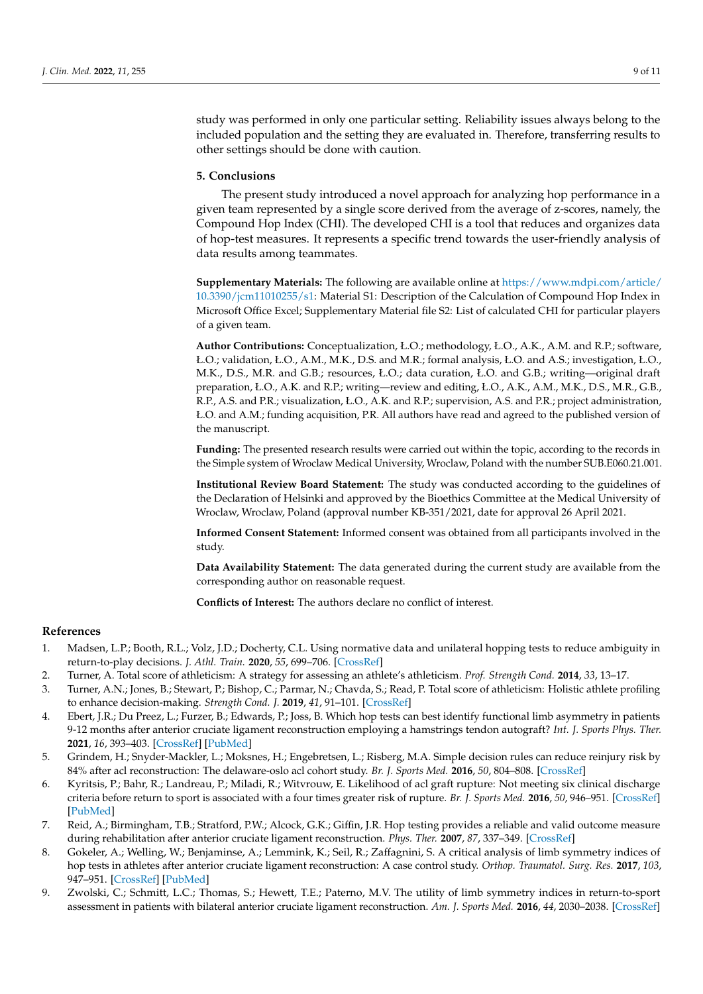study was performed in only one particular setting. Reliability issues always belong to the included population and the setting they are evaluated in. Therefore, transferring results to other settings should be done with caution.

## **5. Conclusions**

The present study introduced a novel approach for analyzing hop performance in a given team represented by a single score derived from the average of z-scores, namely, the Compound Hop Index (CHI). The developed CHI is a tool that reduces and organizes data of hop-test measures. It represents a specific trend towards the user-friendly analysis of data results among teammates.

**Supplementary Materials:** The following are available online at [https://www.mdpi.com/article/](https://www.mdpi.com/article/10.3390/jcm11010255/s1) [10.3390/jcm11010255/s1:](https://www.mdpi.com/article/10.3390/jcm11010255/s1) Material S1: Description of the Calculation of Compound Hop Index in Microsoft Office Excel; Supplementary Material file S2: List of calculated CHI for particular players of a given team.

**Author Contributions:** Conceptualization, Ł.O.; methodology, Ł.O., A.K., A.M. and R.P.; software, Ł.O.; validation, Ł.O., A.M., M.K., D.S. and M.R.; formal analysis, Ł.O. and A.S.; investigation, Ł.O., M.K., D.S., M.R. and G.B.; resources, Ł.O.; data curation, Ł.O. and G.B.; writing—original draft preparation, Ł.O., A.K. and R.P.; writing—review and editing, Ł.O., A.K., A.M., M.K., D.S., M.R., G.B., R.P., A.S. and P.R.; visualization, Ł.O., A.K. and R.P.; supervision, A.S. and P.R.; project administration, Ł.O. and A.M.; funding acquisition, P.R. All authors have read and agreed to the published version of the manuscript.

**Funding:** The presented research results were carried out within the topic, according to the records in the Simple system of Wroclaw Medical University, Wroclaw, Poland with the number SUB.E060.21.001.

**Institutional Review Board Statement:** The study was conducted according to the guidelines of the Declaration of Helsinki and approved by the Bioethics Committee at the Medical University of Wroclaw, Wroclaw, Poland (approval number KB-351/2021, date for approval 26 April 2021.

**Informed Consent Statement:** Informed consent was obtained from all participants involved in the study.

**Data Availability Statement:** The data generated during the current study are available from the corresponding author on reasonable request.

**Conflicts of Interest:** The authors declare no conflict of interest.

### **References**

- <span id="page-8-0"></span>1. Madsen, L.P.; Booth, R.L.; Volz, J.D.; Docherty, C.L. Using normative data and unilateral hopping tests to reduce ambiguity in return-to-play decisions. *J. Athl. Train.* **2020**, *55*, 699–706. [\[CrossRef\]](http://doi.org/10.4085/1062-6050-0050.19)
- <span id="page-8-5"></span>2. Turner, A. Total score of athleticism: A strategy for assessing an athlete's athleticism. *Prof. Strength Cond.* **2014**, *33*, 13–17.
- <span id="page-8-1"></span>3. Turner, A.N.; Jones, B.; Stewart, P.; Bishop, C.; Parmar, N.; Chavda, S.; Read, P. Total score of athleticism: Holistic athlete profiling to enhance decision-making. *Strength Cond. J.* **2019**, *41*, 91–101. [\[CrossRef\]](http://doi.org/10.1519/SSC.0000000000000506)
- <span id="page-8-2"></span>4. Ebert, J.R.; Du Preez, L.; Furzer, B.; Edwards, P.; Joss, B. Which hop tests can best identify functional limb asymmetry in patients 9-12 months after anterior cruciate ligament reconstruction employing a hamstrings tendon autograft? *Int. J. Sports Phys. Ther.* **2021**, *16*, 393–403. [\[CrossRef\]](http://doi.org/10.26603/001c.21140) [\[PubMed\]](http://www.ncbi.nlm.nih.gov/pubmed/33842035)
- <span id="page-8-6"></span>5. Grindem, H.; Snyder-Mackler, L.; Moksnes, H.; Engebretsen, L.; Risberg, M.A. Simple decision rules can reduce reinjury risk by 84% after acl reconstruction: The delaware-oslo acl cohort study. *Br. J. Sports Med.* **2016**, *50*, 804–808. [\[CrossRef\]](http://doi.org/10.1136/bjsports-2016-096031)
- 6. Kyritsis, P.; Bahr, R.; Landreau, P.; Miladi, R.; Witvrouw, E. Likelihood of acl graft rupture: Not meeting six clinical discharge criteria before return to sport is associated with a four times greater risk of rupture. *Br. J. Sports Med.* **2016**, *50*, 946–951. [\[CrossRef\]](http://doi.org/10.1136/bjsports-2015-095908) [\[PubMed\]](http://www.ncbi.nlm.nih.gov/pubmed/27215935)
- <span id="page-8-3"></span>7. Reid, A.; Birmingham, T.B.; Stratford, P.W.; Alcock, G.K.; Giffin, J.R. Hop testing provides a reliable and valid outcome measure during rehabilitation after anterior cruciate ligament reconstruction. *Phys. Ther.* **2007**, *87*, 337–349. [\[CrossRef\]](http://doi.org/10.2522/ptj.20060143)
- <span id="page-8-4"></span>8. Gokeler, A.; Welling, W.; Benjaminse, A.; Lemmink, K.; Seil, R.; Zaffagnini, S. A critical analysis of limb symmetry indices of hop tests in athletes after anterior cruciate ligament reconstruction: A case control study. *Orthop. Traumatol. Surg. Res.* **2017**, *103*, 947–951. [\[CrossRef\]](http://doi.org/10.1016/j.otsr.2017.02.015) [\[PubMed\]](http://www.ncbi.nlm.nih.gov/pubmed/28428033)
- 9. Zwolski, C.; Schmitt, L.C.; Thomas, S.; Hewett, T.E.; Paterno, M.V. The utility of limb symmetry indices in return-to-sport assessment in patients with bilateral anterior cruciate ligament reconstruction. *Am. J. Sports Med.* **2016**, *44*, 2030–2038. [\[CrossRef\]](http://doi.org/10.1177/0363546516645084)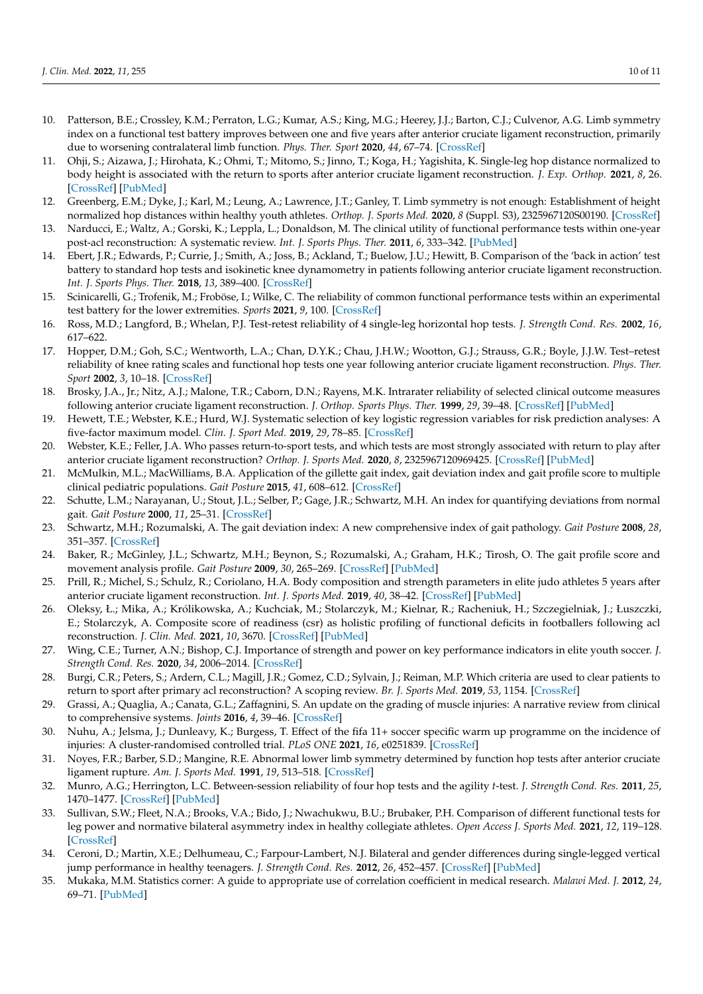- <span id="page-9-0"></span>10. Patterson, B.E.; Crossley, K.M.; Perraton, L.G.; Kumar, A.S.; King, M.G.; Heerey, J.J.; Barton, C.J.; Culvenor, A.G. Limb symmetry index on a functional test battery improves between one and five years after anterior cruciate ligament reconstruction, primarily due to worsening contralateral limb function. *Phys. Ther. Sport* **2020**, *44*, 67–74. [\[CrossRef\]](http://doi.org/10.1016/j.ptsp.2020.04.031)
- <span id="page-9-1"></span>11. Ohji, S.; Aizawa, J.; Hirohata, K.; Ohmi, T.; Mitomo, S.; Jinno, T.; Koga, H.; Yagishita, K. Single-leg hop distance normalized to body height is associated with the return to sports after anterior cruciate ligament reconstruction. *J. Exp. Orthop.* **2021**, *8*, 26. [\[CrossRef\]](http://doi.org/10.1186/s40634-021-00344-z) [\[PubMed\]](http://www.ncbi.nlm.nih.gov/pubmed/33796963)
- <span id="page-9-2"></span>12. Greenberg, E.M.; Dyke, J.; Karl, M.; Leung, A.; Lawrence, J.T.; Ganley, T. Limb symmetry is not enough: Establishment of height normalized hop distances within healthy youth athletes. *Orthop. J. Sports Med.* **2020**, *8* (Suppl. S3), 2325967120S00190. [\[CrossRef\]](http://doi.org/10.1177/2325967120S00190)
- <span id="page-9-3"></span>13. Narducci, E.; Waltz, A.; Gorski, K.; Leppla, L.; Donaldson, M. The clinical utility of functional performance tests within one-year post-acl reconstruction: A systematic review. *Int. J. Sports Phys. Ther.* **2011**, *6*, 333–342. [\[PubMed\]](http://www.ncbi.nlm.nih.gov/pubmed/22163095)
- <span id="page-9-4"></span>14. Ebert, J.R.; Edwards, P.; Currie, J.; Smith, A.; Joss, B.; Ackland, T.; Buelow, J.U.; Hewitt, B. Comparison of the 'back in action' test battery to standard hop tests and isokinetic knee dynamometry in patients following anterior cruciate ligament reconstruction. *Int. J. Sports Phys. Ther.* **2018**, *13*, 389–400. [\[CrossRef\]](http://doi.org/10.26603/ijspt20180389)
- <span id="page-9-5"></span>15. Scinicarelli, G.; Trofenik, M.; Froböse, I.; Wilke, C. The reliability of common functional performance tests within an experimental test battery for the lower extremities. *Sports* **2021**, *9*, 100. [\[CrossRef\]](http://doi.org/10.3390/sports9070100)
- <span id="page-9-6"></span>16. Ross, M.D.; Langford, B.; Whelan, P.J. Test-retest reliability of 4 single-leg horizontal hop tests. *J. Strength Cond. Res.* **2002**, *16*, 617–622.
- <span id="page-9-7"></span>17. Hopper, D.M.; Goh, S.C.; Wentworth, L.A.; Chan, D.Y.K.; Chau, J.H.W.; Wootton, G.J.; Strauss, G.R.; Boyle, J.J.W. Test–retest reliability of knee rating scales and functional hop tests one year following anterior cruciate ligament reconstruction. *Phys. Ther. Sport* **2002**, *3*, 10–18. [\[CrossRef\]](http://doi.org/10.1054/ptsp.2001.0094)
- <span id="page-9-8"></span>18. Brosky, J.A., Jr.; Nitz, A.J.; Malone, T.R.; Caborn, D.N.; Rayens, M.K. Intrarater reliability of selected clinical outcome measures following anterior cruciate ligament reconstruction. *J. Orthop. Sports Phys. Ther.* **1999**, *29*, 39–48. [\[CrossRef\]](http://doi.org/10.2519/jospt.1999.29.1.39) [\[PubMed\]](http://www.ncbi.nlm.nih.gov/pubmed/10100120)
- <span id="page-9-9"></span>19. Hewett, T.E.; Webster, K.E.; Hurd, W.J. Systematic selection of key logistic regression variables for risk prediction analyses: A five-factor maximum model. *Clin. J. Sport Med.* **2019**, *29*, 78–85. [\[CrossRef\]](http://doi.org/10.1097/JSM.0000000000000486)
- <span id="page-9-10"></span>20. Webster, K.E.; Feller, J.A. Who passes return-to-sport tests, and which tests are most strongly associated with return to play after anterior cruciate ligament reconstruction? *Orthop. J. Sports Med.* **2020**, *8*, 2325967120969425. [\[CrossRef\]](http://doi.org/10.1177/2325967120969425) [\[PubMed\]](http://www.ncbi.nlm.nih.gov/pubmed/33415177)
- <span id="page-9-11"></span>21. McMulkin, M.L.; MacWilliams, B.A. Application of the gillette gait index, gait deviation index and gait profile score to multiple clinical pediatric populations. *Gait Posture* **2015**, *41*, 608–612. [\[CrossRef\]](http://doi.org/10.1016/j.gaitpost.2015.01.005)
- <span id="page-9-12"></span>22. Schutte, L.M.; Narayanan, U.; Stout, J.L.; Selber, P.; Gage, J.R.; Schwartz, M.H. An index for quantifying deviations from normal gait. *Gait Posture* **2000**, *11*, 25–31. [\[CrossRef\]](http://doi.org/10.1016/S0966-6362(99)00047-8)
- <span id="page-9-13"></span>23. Schwartz, M.H.; Rozumalski, A. The gait deviation index: A new comprehensive index of gait pathology. *Gait Posture* **2008**, *28*, 351–357. [\[CrossRef\]](http://doi.org/10.1016/j.gaitpost.2008.05.001)
- <span id="page-9-14"></span>24. Baker, R.; McGinley, J.L.; Schwartz, M.H.; Beynon, S.; Rozumalski, A.; Graham, H.K.; Tirosh, O. The gait profile score and movement analysis profile. *Gait Posture* **2009**, *30*, 265–269. [\[CrossRef\]](http://doi.org/10.1016/j.gaitpost.2009.05.020) [\[PubMed\]](http://www.ncbi.nlm.nih.gov/pubmed/19632117)
- <span id="page-9-15"></span>25. Prill, R.; Michel, S.; Schulz, R.; Coriolano, H.A. Body composition and strength parameters in elite judo athletes 5 years after anterior cruciate ligament reconstruction. *Int. J. Sports Med.* **2019**, *40*, 38–42. [\[CrossRef\]](http://doi.org/10.1055/a-0787-1420) [\[PubMed\]](http://www.ncbi.nlm.nih.gov/pubmed/30481831)
- <span id="page-9-16"></span>26. Oleksy, Ł.; Mika, A.; Królikowska, A.; Kuchciak, M.; Stolarczyk, M.; Kielnar, R.; Racheniuk, H.; Szczegielniak, J.; Łuszczki, E.; Stolarczyk, A. Composite score of readiness (csr) as holistic profiling of functional deficits in footballers following acl reconstruction. *J. Clin. Med.* **2021**, *10*, 3670. [\[CrossRef\]](http://doi.org/10.3390/jcm10163570) [\[PubMed\]](http://www.ncbi.nlm.nih.gov/pubmed/34441865)
- <span id="page-9-17"></span>27. Wing, C.E.; Turner, A.N.; Bishop, C.J. Importance of strength and power on key performance indicators in elite youth soccer. *J. Strength Cond. Res.* **2020**, *34*, 2006–2014. [\[CrossRef\]](http://doi.org/10.1519/JSC.0000000000002446)
- <span id="page-9-18"></span>28. Burgi, C.R.; Peters, S.; Ardern, C.L.; Magill, J.R.; Gomez, C.D.; Sylvain, J.; Reiman, M.P. Which criteria are used to clear patients to return to sport after primary acl reconstruction? A scoping review. *Br. J. Sports Med.* **2019**, *53*, 1154. [\[CrossRef\]](http://doi.org/10.1136/bjsports-2018-099982)
- <span id="page-9-19"></span>29. Grassi, A.; Quaglia, A.; Canata, G.L.; Zaffagnini, S. An update on the grading of muscle injuries: A narrative review from clinical to comprehensive systems. *Joints* **2016**, *4*, 39–46. [\[CrossRef\]](http://doi.org/10.11138/jts/2016.4.1.039)
- <span id="page-9-20"></span>30. Nuhu, A.; Jelsma, J.; Dunleavy, K.; Burgess, T. Effect of the fifa 11+ soccer specific warm up programme on the incidence of injuries: A cluster-randomised controlled trial. *PLoS ONE* **2021**, *16*, e0251839. [\[CrossRef\]](http://doi.org/10.1371/journal.pone.0251839)
- <span id="page-9-21"></span>31. Noyes, F.R.; Barber, S.D.; Mangine, R.E. Abnormal lower limb symmetry determined by function hop tests after anterior cruciate ligament rupture. *Am. J. Sports Med.* **1991**, *19*, 513–518. [\[CrossRef\]](http://doi.org/10.1177/036354659101900518)
- <span id="page-9-25"></span>32. Munro, A.G.; Herrington, L.C. Between-session reliability of four hop tests and the agility *t*-test. *J. Strength Cond. Res.* **2011**, *25*, 1470–1477. [\[CrossRef\]](http://doi.org/10.1519/JSC.0b013e3181d83335) [\[PubMed\]](http://www.ncbi.nlm.nih.gov/pubmed/21116200)
- <span id="page-9-22"></span>33. Sullivan, S.W.; Fleet, N.A.; Brooks, V.A.; Bido, J.; Nwachukwu, B.U.; Brubaker, P.H. Comparison of different functional tests for leg power and normative bilateral asymmetry index in healthy collegiate athletes. *Open Access J. Sports Med.* **2021**, *12*, 119–128. [\[CrossRef\]](http://doi.org/10.2147/OAJSM.S315162)
- <span id="page-9-23"></span>34. Ceroni, D.; Martin, X.E.; Delhumeau, C.; Farpour-Lambert, N.J. Bilateral and gender differences during single-legged vertical jump performance in healthy teenagers. *J. Strength Cond. Res.* **2012**, *26*, 452–457. [\[CrossRef\]](http://doi.org/10.1519/JSC.0b013e31822600c9) [\[PubMed\]](http://www.ncbi.nlm.nih.gov/pubmed/22233795)
- <span id="page-9-24"></span>35. Mukaka, M.M. Statistics corner: A guide to appropriate use of correlation coefficient in medical research. *Malawi Med. J.* **2012**, *24*, 69–71. [\[PubMed\]](http://www.ncbi.nlm.nih.gov/pubmed/23638278)